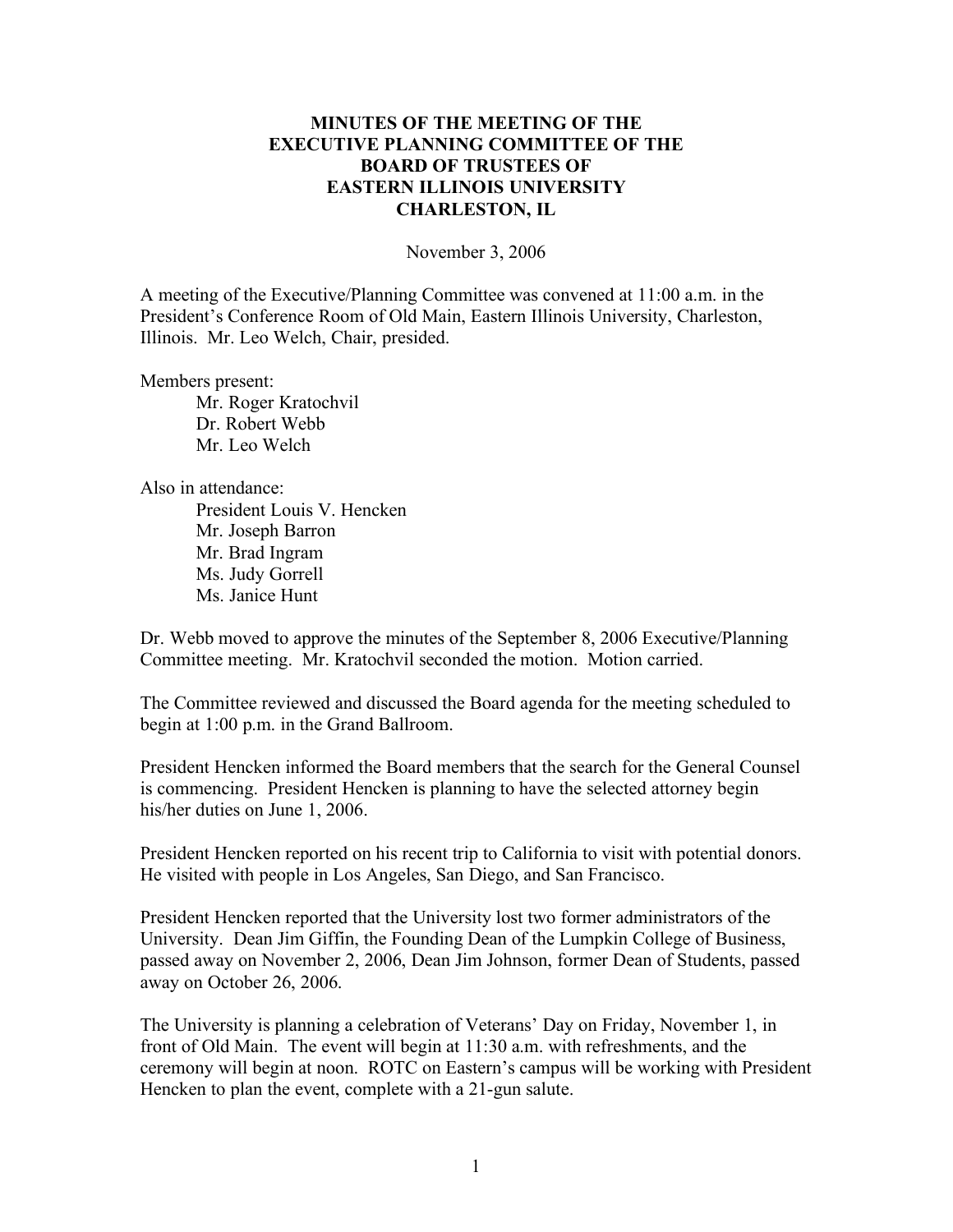## **MINUTES OF THE MEETING OF THE EXECUTIVE PLANNING COMMITTEE OF THE BOARD OF TRUSTEES OF EASTERN ILLINOIS UNIVERSITY CHARLESTON, IL**

November 3, 2006

A meeting of the Executive/Planning Committee was convened at 11:00 a.m. in the President's Conference Room of Old Main, Eastern Illinois University, Charleston, Illinois. Mr. Leo Welch, Chair, presided.

Members present:

Mr. Roger Kratochvil Dr. Robert Webb Mr. Leo Welch

Also in attendance:

President Louis V. Hencken Mr. Joseph Barron Mr. Brad Ingram Ms. Judy Gorrell Ms. Janice Hunt

Dr. Webb moved to approve the minutes of the September 8, 2006 Executive/Planning Committee meeting. Mr. Kratochvil seconded the motion. Motion carried.

The Committee reviewed and discussed the Board agenda for the meeting scheduled to begin at 1:00 p.m. in the Grand Ballroom.

President Hencken informed the Board members that the search for the General Counsel is commencing. President Hencken is planning to have the selected attorney begin his/her duties on June 1, 2006.

President Hencken reported on his recent trip to California to visit with potential donors. He visited with people in Los Angeles, San Diego, and San Francisco.

President Hencken reported that the University lost two former administrators of the University. Dean Jim Giffin, the Founding Dean of the Lumpkin College of Business, passed away on November 2, 2006, Dean Jim Johnson, former Dean of Students, passed away on October 26, 2006.

The University is planning a celebration of Veterans' Day on Friday, November 1, in front of Old Main. The event will begin at 11:30 a.m. with refreshments, and the ceremony will begin at noon. ROTC on Eastern's campus will be working with President Hencken to plan the event, complete with a 21-gun salute.